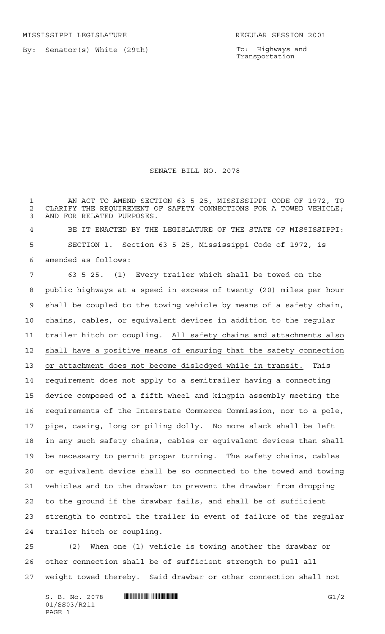By: Senator(s) White (29th)

To: Highways and Transportation

## SENATE BILL NO. 2078

 AN ACT TO AMEND SECTION 63-5-25, MISSISSIPPI CODE OF 1972, TO 2 CLARIFY THE REQUIREMENT OF SAFETY CONNECTIONS FOR A TOWED VEHICLE;<br>3 AND FOR RELATED PURPOSES. AND FOR RELATED PURPOSES.

 BE IT ENACTED BY THE LEGISLATURE OF THE STATE OF MISSISSIPPI: SECTION 1. Section 63-5-25, Mississippi Code of 1972, is amended as follows:

 63-5-25. (1) Every trailer which shall be towed on the public highways at a speed in excess of twenty (20) miles per hour shall be coupled to the towing vehicle by means of a safety chain, chains, cables, or equivalent devices in addition to the regular trailer hitch or coupling. All safety chains and attachments also shall have a positive means of ensuring that the safety connection or attachment does not become dislodged while in transit. This requirement does not apply to a semitrailer having a connecting device composed of a fifth wheel and kingpin assembly meeting the requirements of the Interstate Commerce Commission, nor to a pole, pipe, casing, long or piling dolly. No more slack shall be left in any such safety chains, cables or equivalent devices than shall be necessary to permit proper turning. The safety chains, cables or equivalent device shall be so connected to the towed and towing vehicles and to the drawbar to prevent the drawbar from dropping to the ground if the drawbar fails, and shall be of sufficient strength to control the trailer in event of failure of the regular trailer hitch or coupling.

 (2) When one (1) vehicle is towing another the drawbar or other connection shall be of sufficient strength to pull all weight towed thereby. Said drawbar or other connection shall not

 $S. B. No. 2078$  **INNIFICALLY INSERIAL EXAMPLE IN THE SET OF STATE IN THE SET OF STATE IN THE SET OF STATE IN THE SET OF STATE IN THE SET OF STATE IN THE SET OF STATE IN THE SET OF STATE IN THE SET OF STATE IN THE SET OF S** 01/SS03/R211 PAGE 1